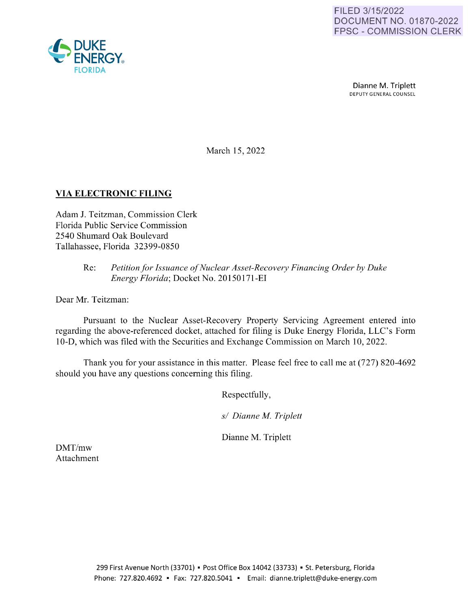

Dianne M. Triplett DEPUTY GENERAL COUNSEL

March 15, 2022

## **VIA ELECTRONIC FILING**

Adam J. Teitzman, Commission Clerk Florida Public Service Commission 2540 Shumard Oak Boulevard Tallahassee, Florida 32399-0850

## Re: *Petition for Issuance of Nuclear Asset-Recovery Financing Order by Duke Energy Florida;* Docket No. 20150171-EI

Dear Mr. Teitzman:

Pursuant to the Nuclear Asset-Recovery Property Servicing Agreement entered into regarding the above-referenced docket, attached for filing is Duke Energy Florida, LLC's Form 10-D, which was filed with the Securities and Exchange Commission on March 10, 2022.

Thank you for your assistance in this matter. Please feel free to call me at (727) 820-4692 should you have any questions concerning this filing.

Respectfully,

*sl Dianne M. Triplett* 

Dianne M. Triplett

DMT/mw Attachment

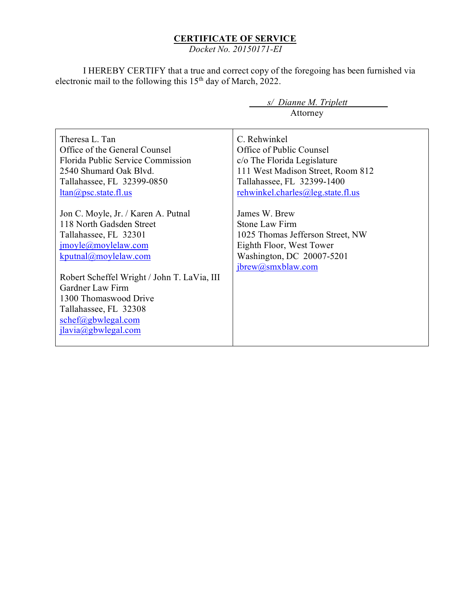## **CERTIFICATE OF SERVICE**

*Docket No. 20150171-EI*

I HEREBY CERTIFY that a true and correct copy of the foregoing has been furnished via electronic mail to the following this 15<sup>th</sup> day of March, 2022.

> *s/ Dianne M. Triplett*  Attorney

Theresa L. Tan Office of the General Counsel Florida Public Service Commission 2540 Shumard Oak Blvd. Tallahassee, FL 32399-0850 [ltan@psc.state.fl.us](mailto:ltan@psc.state.fl.us) Jon C. Moyle, Jr. / Karen A. Putnal 118 North Gadsden Street Tallahassee, FL 32301 [jmoyle@moylelaw.com](mailto:jmoyle@moylelaw.com) [kputnal@moylelaw.com](mailto:kputnal@moylelaw.com) Robert Scheffel Wright / John T. LaVia, III Gardner Law Firm 1300 Thomaswood Drive Tallahassee, FL 32308 [schef@gbwlegal.com](mailto:schef@gbwlegal.com) [jlavia@gbwlegal.com](mailto:jlavia@gbwlegal.com) C. Rehwinkel Office of Public Counsel c/o The Florida Legislature 111 West Madison Street, Room 812 Tallahassee, FL 32399-1400 [rehwinkel.charles@leg.state.fl.us](mailto:rehwinkel.charles@leg.state.fl.us) James W. Brew Stone Law Firm 1025 Thomas Jefferson Street, NW Eighth Floor, West Tower Washington, DC 20007-5201 [jbrew@smxblaw.com](mailto:jbrew@smxblaw.com)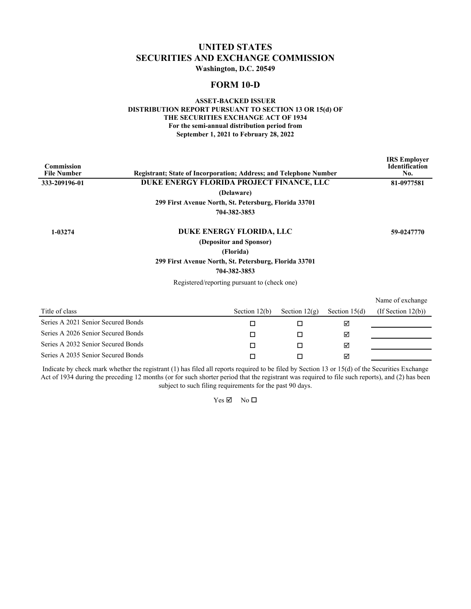# **UNITED STATES SECURITIES AND EXCHANGE COMMISSION**

**Washington, D.C. 20549**

### **FORM 10-D**

### **ASSET-BACKED ISSUER DISTRIBUTION REPORT PURSUANT TO SECTION 13 OR 15(d) OF THE SECURITIES EXCHANGE ACT OF 1934 For the semi-annual distribution period from September 1, 2021 to February 28, 2022**

| <b>Commission</b><br><b>File Number</b> | <b>Registrant: State of Incorporation: Address: and Telephone Number</b> |                         |                 |                 | <b>IRS</b> Employer<br><b>Identification</b><br>No. |
|-----------------------------------------|--------------------------------------------------------------------------|-------------------------|-----------------|-----------------|-----------------------------------------------------|
| 333-209196-01                           | DUKE ENERGY FLORIDA PROJECT FINANCE, LLC                                 |                         |                 |                 | 81-0977581                                          |
|                                         |                                                                          | (Delaware)              |                 |                 |                                                     |
|                                         | 299 First Avenue North, St. Petersburg, Florida 33701                    |                         |                 |                 |                                                     |
|                                         |                                                                          | 704-382-3853            |                 |                 |                                                     |
| 1-03274                                 | DUKE ENERGY FLORIDA, LLC                                                 |                         |                 |                 | 59-0247770                                          |
|                                         |                                                                          | (Depositor and Sponsor) |                 |                 |                                                     |
|                                         |                                                                          | (Florida)               |                 |                 |                                                     |
|                                         | 299 First Avenue North, St. Petersburg, Florida 33701                    |                         |                 |                 |                                                     |
|                                         |                                                                          | 704-382-3853            |                 |                 |                                                     |
|                                         | Registered/reporting pursuant to (check one)                             |                         |                 |                 |                                                     |
|                                         |                                                                          |                         |                 |                 | Name of exchange                                    |
| Title of class                          |                                                                          | Section $12(b)$         | Section $12(g)$ | Section $15(d)$ | (If Section $12(b)$ )                               |
| Series A 2021 Senior Secured Bonds      |                                                                          | □                       | □               | ☑               |                                                     |
| Series A 2026 Senior Secured Bonds      |                                                                          | $\Box$                  | П               | ☑               |                                                     |
| Series A 2032 Senior Secured Bonds      |                                                                          | □                       | □               | ☑               |                                                     |
| Series A 2035 Senior Secured Bonds      |                                                                          | □                       | П               | ⊠               |                                                     |
|                                         |                                                                          |                         |                 |                 |                                                     |

Indicate by check mark whether the registrant (1) has filed all reports required to be filed by Section 13 or 15(d) of the Securities Exchange Act of 1934 during the preceding 12 months (or for such shorter period that the registrant was required to file such reports), and (2) has been subject to such filing requirements for the past 90 days.

 $Yes \nightharpoonup No \square$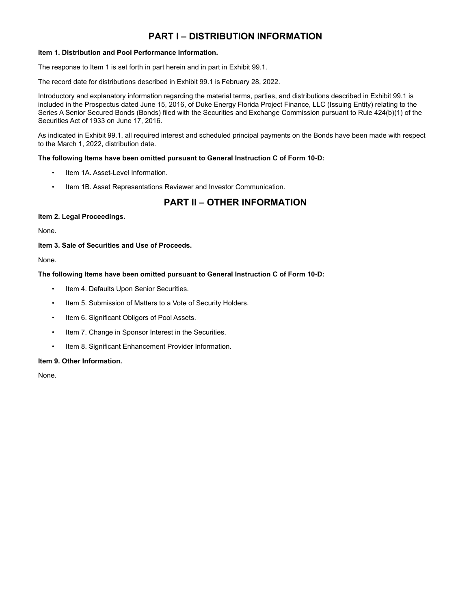# **PART I – DISTRIBUTION INFORMATION**

### **Item 1. Distribution and Pool Performance Information.**

The response to Item 1 is set forth in part herein and in part in Exhibit 99.1.

The record date for distributions described in Exhibit 99.1 is February 28, 2022.

Introductory and explanatory information regarding the material terms, parties, and distributions described in Exhibit 99.1 is included in the Prospectus dated June 15, 2016, of Duke Energy Florida Project Finance, LLC (Issuing Entity) relating to the Series A Senior Secured Bonds (Bonds) filed with the Securities and Exchange Commission pursuant to Rule 424(b)(1) of the Securities Act of 1933 on June 17, 2016.

As indicated in Exhibit 99.1, all required interest and scheduled principal payments on the Bonds have been made with respect to the March 1, 2022, distribution date.

### **The following Items have been omitted pursuant to General Instruction C of Form 10-D:**

- Item 1A. Asset-Level Information.
- Item 1B. Asset Representations Reviewer and Investor Communication.

# **PART II – OTHER INFORMATION**

#### **Item 2. Legal Proceedings.**

None.

### **Item 3. Sale of Securities and Use of Proceeds.**

None.

### **The following Items have been omitted pursuant to General Instruction C of Form 10-D:**

- Item 4. Defaults Upon Senior Securities.
- Item 5. Submission of Matters to a Vote of Security Holders.
- Item 6. Significant Obligors of Pool Assets.
- Item 7. Change in Sponsor Interest in the Securities.
- Item 8. Significant Enhancement Provider Information.

#### **Item 9. Other Information.**

None.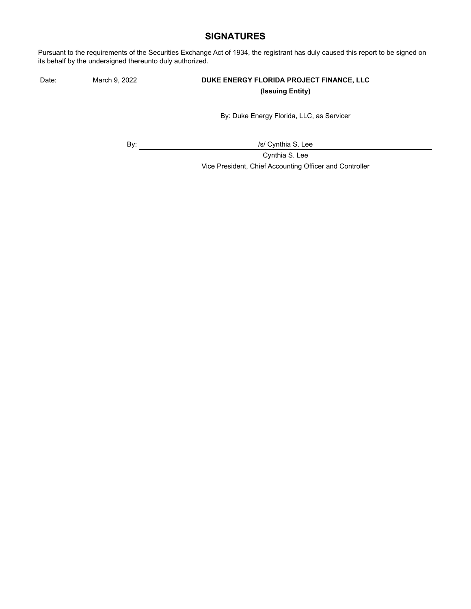## **SIGNATURES**

Pursuant to the requirements of the Securities Exchange Act of 1934, the registrant has duly caused this report to be signed on its behalf by the undersigned thereunto duly authorized.

### Date: March 9, 2022 **DUKE ENERGY FLORIDA PROJECT FINANCE, LLC (Issuing Entity)**

By: Duke Energy Florida, LLC, as Servicer

By:  $\qquad \qquad \qquad$  /s/ Cynthia S. Lee

Cynthia S. Lee

Vice President, Chief Accounting Officer and Controller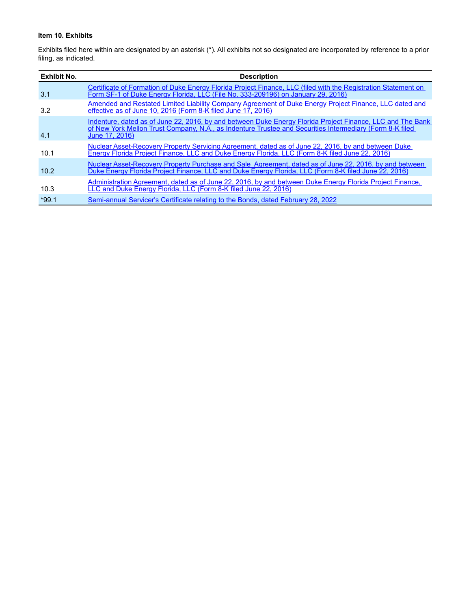### **Item 10. Exhibits**

Exhibits filed here within are designated by an asterisk (\*). All exhibits not so designated are incorporated by reference to a prior filing, as indicated.

| <b>Exhibit No.</b> | <b>Description</b>                                                                                                                                                                                                                       |
|--------------------|------------------------------------------------------------------------------------------------------------------------------------------------------------------------------------------------------------------------------------------|
| 3.1                | Certificate of Formation of Duke Energy Florida Project Finance, LLC (filed with the Registration Statement on<br>Form SF-1 of Duke Energy Florida, LLC (File No. 333-209196) on January 29, 2016)                                       |
| 3.2                | Amended and Restated Limited Liability Company Agreement of Duke Energy Project Finance, LLC dated and<br>effective as of June 10, 2016 (Form 8-K filed June 17, 2016)                                                                   |
| 4.1                | Indenture, dated as of June 22, 2016, by and between Duke Energy Florida Project Finance, LLC and The Bank<br>of New York Mellon Trust Company, N.A., as Indenture Trustee and Securities Intermediary (Form 8-K filed<br>June 17, 2016) |
| 10.1               | Nuclear Asset-Recovery Property Servicing Agreement, dated as of June 22, 2016, by and between Duke<br>Energy Florida Project Finance, LLC and Duke Energy Florida, LLC (Form 8-K filed June 22, 2016)                                   |
| 10.2               | Nuclear Asset-Recovery Property Purchase and Sale Agreement, dated as of June 22, 2016, by and between<br>Duke Energy Florida Project Finance, LLC and Duke Energy Florida, LLC (Form 8-K filed June 22, 2016)                           |
| 10.3               | Administration Agreement, dated as of June 22, 2016, by and between Duke Energy Florida Project Finance,<br>LLC and Duke Energy Florida, LLC (Form 8-K filed June 22, 2016)                                                              |
| $*99.1$            | Semi-annual Servicer's Certificate relating to the Bonds, dated February 28, 2022                                                                                                                                                        |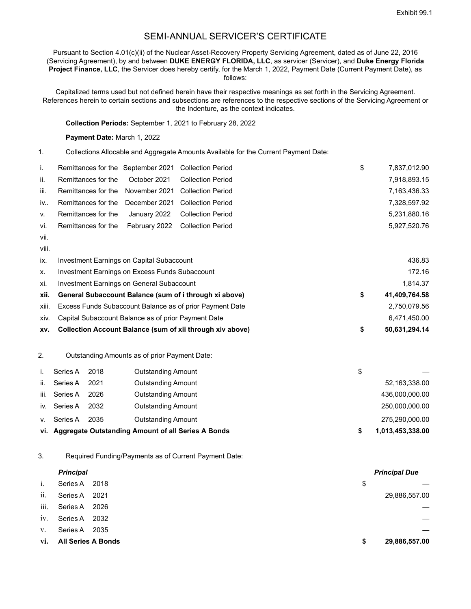## SEMI-ANNUAL SERVICER'S CERTIFICATE

Pursuant to Section 4.01(c)(ii) of the Nuclear Asset-Recovery Property Servicing Agreement, dated as of June 22, 2016 (Servicing Agreement), by and between **DUKE ENERGY FLORIDA, LLC**, as servicer (Servicer), and **Duke Energy Florida Project Finance, LLC**, the Servicer does hereby certify, for the March 1, 2022, Payment Date (Current Payment Date), as follows:

Capitalized terms used but not defined herein have their respective meanings as set forth in the Servicing Agreement. References herein to certain sections and subsections are references to the respective sections of the Servicing Agreement or the Indenture, as the context indicates.

**Collection Periods:** September 1, 2021 to February 28, 2022

**Payment Date:** March 1, 2022

1. Collections Allocable and Aggregate Amounts Available for the Current Payment Date:

| i.        | Remittances for the September 2021 Collection Period |  | \$ | 7,837,012.90 |
|-----------|------------------------------------------------------|--|----|--------------|
| ii.       | Remittances for the October 2021 Collection Period   |  |    | 7,918,893.15 |
| iii.      | Remittances for the November 2021 Collection Period  |  |    | 7.163.436.33 |
| iv        | Remittances for the December 2021 Collection Period  |  |    | 7.328.597.92 |
| <b>V.</b> | Remittances for the January 2022 Collection Period   |  |    | 5,231,880.16 |
| vi.       | Remittances for the February 2022 Collection Period  |  |    | 5.927.520.76 |
| vii.      |                                                      |  |    |              |

viii.

| ix.   | Investment Earnings on Capital Subaccount                     |    | 436.83        |
|-------|---------------------------------------------------------------|----|---------------|
| X.    | Investment Earnings on Excess Funds Subaccount                |    | 172.16        |
| xi.   | Investment Earnings on General Subaccount                     |    | 1.814.37      |
| xii.  | General Subaccount Balance (sum of i through xi above)        | \$ | 41,409,764.58 |
| xiii. | Excess Funds Subaccount Balance as of prior Payment Date      |    | 2,750,079.56  |
| xiv.  | Capital Subaccount Balance as of prior Payment Date           |    | 6.471.450.00  |
|       | xv. Collection Account Balance (sum of xii through xiv above) | S  | 50.631.294.14 |

2. Outstanding Amounts as of prior Payment Date:

|      | Series A | 2018 | Outstanding Amount                                     | \$               |
|------|----------|------|--------------------------------------------------------|------------------|
| ii.  | Series A | 2021 | <b>Outstanding Amount</b>                              | 52,163,338.00    |
| iii. | Series A | 2026 | Outstanding Amount                                     | 436,000,000.00   |
| iv.  | Series A | 2032 | <b>Outstanding Amount</b>                              | 250,000,000.00   |
| V.   | Series A | 2035 | Outstanding Amount                                     | 275,290,000.00   |
|      |          |      | vi. Aggregate Outstanding Amount of all Series A Bonds | 1,013,453,338.00 |

3. Required Funding/Payments as of Current Payment Date:

|      | <b>Principal</b>          |      |    | <b>Principal Due</b> |
|------|---------------------------|------|----|----------------------|
| i.   | Series A                  | 2018 | \$ |                      |
| ii.  | Series A                  | 2021 |    | 29,886,557.00        |
| iii. | Series A                  | 2026 |    |                      |
| iv.  | Series A                  | 2032 |    |                      |
| V.   | Series A                  | 2035 |    |                      |
| VÌ.  | <b>All Series A Bonds</b> |      | S  | 29,886,557.00        |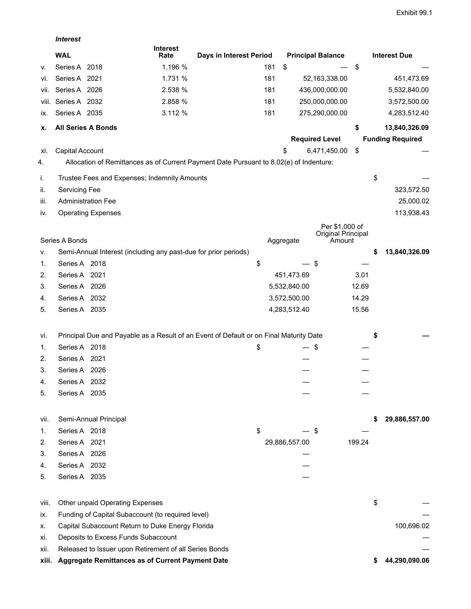|       | <b>Interest</b>           |                                                                 |                         |                                                                                        |               |                              |        |                         |
|-------|---------------------------|-----------------------------------------------------------------|-------------------------|----------------------------------------------------------------------------------------|---------------|------------------------------|--------|-------------------------|
|       | <b>WAL</b>                |                                                                 | <b>Interest</b><br>Rate | Days in Interest Period                                                                |               | <b>Principal Balance</b>     |        | <b>Interest Due</b>     |
| v.    | Series A 2018             |                                                                 | 1.196 %                 | 181                                                                                    | \$            |                              | \$     |                         |
| vi.   | Series A 2021             |                                                                 | 1.731 %                 | 181                                                                                    |               | 52,163,338.00                |        | 451,473.69              |
| Vİİ.  | Series A 2026             |                                                                 | 2.538 %                 | 181                                                                                    |               | 436,000,000.00               |        | 5,532,840.00            |
| VIII. | Series A 2032             |                                                                 | 2.858 %                 | 181                                                                                    |               | 250,000,000.00               |        | 3,572,500.00            |
| ix.   | Series A 2035             |                                                                 | 3.112 %                 | 181                                                                                    |               | 275,290,000.00               |        | 4,283,512.40            |
| х.    | <b>All Series A Bonds</b> |                                                                 |                         |                                                                                        |               |                              | \$     | 13,840,326.09           |
|       |                           |                                                                 |                         |                                                                                        |               | <b>Required Level</b>        |        | <b>Funding Required</b> |
| Xİ.   | Capital Account           |                                                                 |                         |                                                                                        | \$            | 6,471,450.00                 | \$     |                         |
| 4.    |                           |                                                                 |                         | Allocation of Remittances as of Current Payment Date Pursuant to 8.02(e) of Indenture: |               |                              |        |                         |
| i.    |                           | Trustee Fees and Expenses; Indemnity Amounts                    |                         |                                                                                        |               |                              |        | \$                      |
| ii.   | Servicing Fee             |                                                                 |                         |                                                                                        |               |                              |        | 323,572.50              |
| iii.  |                           | <b>Administration Fee</b>                                       |                         |                                                                                        |               |                              |        | 25,000.02               |
| İV.   |                           | <b>Operating Expenses</b>                                       |                         |                                                                                        |               |                              |        | 113,938.43              |
|       |                           |                                                                 |                         |                                                                                        |               | Per \$1,000 of               |        |                         |
|       | Series A Bonds            |                                                                 |                         |                                                                                        | Aggregate     | Original Principal<br>Amount |        |                         |
| V.    |                           | Semi-Annual Interest (including any past-due for prior periods) |                         |                                                                                        |               |                              |        | \$<br>13,840,326.09     |
| 1.    | Series A 2018             |                                                                 |                         | \$                                                                                     |               | \$                           |        |                         |
|       |                           |                                                                 |                         |                                                                                        |               |                              |        |                         |
| 2.    | Series A 2021             |                                                                 |                         |                                                                                        | 451,473.69    |                              | 3.01   |                         |
| 3.    | Series A 2026             |                                                                 |                         |                                                                                        | 5,532,840.00  |                              | 12.69  |                         |
| 4.    | Series A 2032             |                                                                 |                         |                                                                                        | 3,572,500.00  |                              | 14.29  |                         |
| 5.    | Series A 2035             |                                                                 |                         |                                                                                        | 4,283,512.40  |                              | 15.56  |                         |
| vi.   |                           |                                                                 |                         | Principal Due and Payable as a Result of an Event of Default or on Final Maturity Date |               |                              |        | \$                      |
| 1.    | Series A 2018             |                                                                 |                         | \$                                                                                     |               | \$                           |        |                         |
| 2.    | Series A 2021             |                                                                 |                         |                                                                                        |               |                              |        |                         |
| 3.    | Series A 2026             |                                                                 |                         |                                                                                        |               |                              |        |                         |
| 4.    | Series A 2032             |                                                                 |                         |                                                                                        |               |                              |        |                         |
| 5.    | Series A 2035             |                                                                 |                         |                                                                                        |               |                              |        |                         |
|       |                           |                                                                 |                         |                                                                                        |               |                              |        |                         |
| vii.  |                           | Semi-Annual Principal                                           |                         |                                                                                        |               |                              |        | 29,886,557.00           |
| 1.    | Series A 2018             |                                                                 |                         | \$                                                                                     |               | \$                           |        |                         |
| 2.    | Series A 2021             |                                                                 |                         |                                                                                        | 29,886,557.00 |                              | 199.24 |                         |
| 3.    | Series A 2026             |                                                                 |                         |                                                                                        |               |                              |        |                         |
| 4.    | Series A 2032             |                                                                 |                         |                                                                                        |               |                              |        |                         |
| 5.    | Series A 2035             |                                                                 |                         |                                                                                        |               |                              |        |                         |
| viii. |                           | Other unpaid Operating Expenses                                 |                         |                                                                                        |               |                              |        | \$                      |
| IX.   |                           | Funding of Capital Subaccount (to required level)               |                         |                                                                                        |               |                              |        |                         |
| х.    |                           | Capital Subaccount Return to Duke Energy Florida                |                         |                                                                                        |               |                              |        | 100,696.02              |
| Xİ.   |                           | Deposits to Excess Funds Subaccount                             |                         |                                                                                        |               |                              |        |                         |
| XII.  |                           | Released to Issuer upon Retirement of all Series Bonds          |                         |                                                                                        |               |                              |        |                         |
| xiii. |                           | Aggregate Remittances as of Current Payment Date                |                         |                                                                                        |               |                              |        | 44,290,090.06           |
|       |                           |                                                                 |                         |                                                                                        |               |                              |        |                         |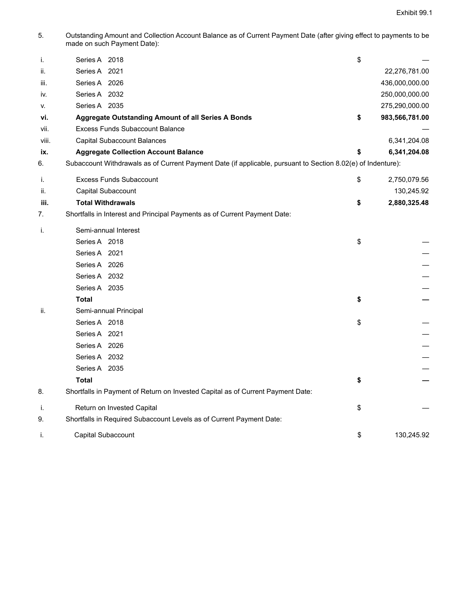5. Outstanding Amount and Collection Account Balance as of Current Payment Date (after giving effect to payments to be made on such Payment Date):

| j.        | Series A 2018                                                                                                | \$                                     |
|-----------|--------------------------------------------------------------------------------------------------------------|----------------------------------------|
| ii.       | Series A 2021                                                                                                | 22,276,781.00                          |
| iii.      | Series A 2026                                                                                                | 436,000,000.00                         |
| IV.       | Series A 2032<br>Series A 2035                                                                               | 250,000,000.00                         |
| v.<br>vi. |                                                                                                              | \$<br>275,290,000.00<br>983,566,781.00 |
| vii.      | <b>Aggregate Outstanding Amount of all Series A Bonds</b><br><b>Excess Funds Subaccount Balance</b>          |                                        |
| viii.     | <b>Capital Subaccount Balances</b>                                                                           | 6,341,204.08                           |
| ix.       | <b>Aggregate Collection Account Balance</b>                                                                  | \$<br>6,341,204.08                     |
| 6.        | Subaccount Withdrawals as of Current Payment Date (if applicable, pursuant to Section 8.02(e) of Indenture): |                                        |
|           |                                                                                                              |                                        |
| i.        | <b>Excess Funds Subaccount</b>                                                                               | \$<br>2,750,079.56                     |
| ii.       | Capital Subaccount                                                                                           | 130,245.92                             |
| iii.      | <b>Total Withdrawals</b>                                                                                     | \$<br>2,880,325.48                     |
| 7.        | Shortfalls in Interest and Principal Payments as of Current Payment Date:                                    |                                        |
| i.        | Semi-annual Interest                                                                                         |                                        |
|           | Series A 2018                                                                                                | \$                                     |
|           | Series A 2021                                                                                                |                                        |
|           | Series A 2026                                                                                                |                                        |
|           | Series A 2032                                                                                                |                                        |
|           | Series A 2035                                                                                                |                                        |
|           | <b>Total</b>                                                                                                 | \$                                     |
| ii.       | Semi-annual Principal                                                                                        |                                        |
|           | Series A 2018                                                                                                | \$                                     |
|           | Series A 2021                                                                                                |                                        |
|           | Series A 2026                                                                                                |                                        |
|           | Series A 2032                                                                                                |                                        |
|           | Series A 2035                                                                                                |                                        |
|           | <b>Total</b>                                                                                                 | \$                                     |
| 8.        | Shortfalls in Payment of Return on Invested Capital as of Current Payment Date:                              |                                        |
| j.        | Return on Invested Capital                                                                                   | \$                                     |
| 9.        | Shortfalls in Required Subaccount Levels as of Current Payment Date:                                         |                                        |
| i.        | Capital Subaccount                                                                                           | \$<br>130,245.92                       |